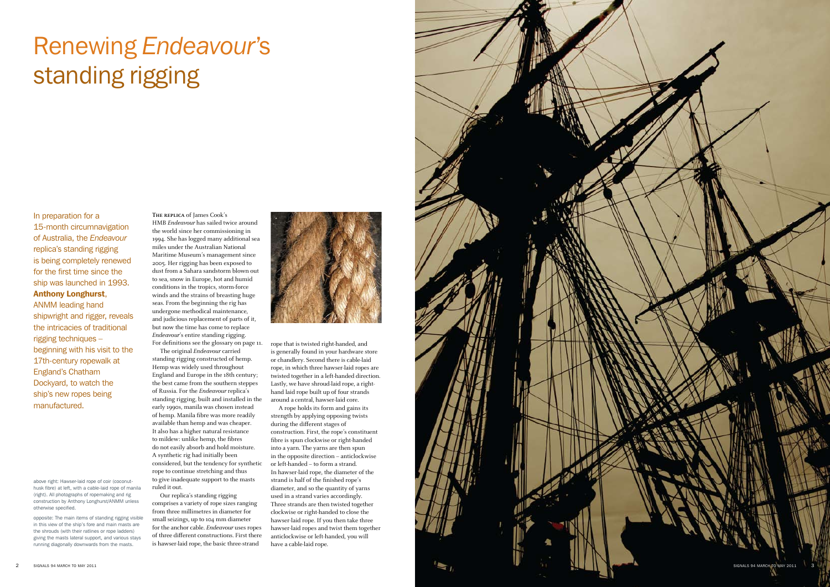In preparation for a 15-month circumnavigation of Australia, the *Endeavour* replica's standing rigging is being completely renewed for the first time since the ship was launched in 1993. Anthony Longhurst, ANMM leading hand

shipwright and rigger, reveals the intricacies of traditional rigging techniques – beginning with his visit to the 17th-century ropewalk at England's Chatham Dockyard, to watch the ship's new ropes being manufactured.

# Renewing *Endeavour*'s standing rigging

**The replica** of James Cook's HMB Endeavour has sailed twice around the world since her commissioning in 1994. She has logged many additional sea miles under the Australian National Maritime Museum's management since 2005. Her rigging has been exposed to dust from a Sahara sandstorm blown out to sea, snow in Europe, hot and humid conditions in the tropics, storm-force winds and the strains of breasting huge seas. From the beginning the rig has undergone methodical maintenance, and judicious replacement of parts of it, but now the time has come to replace Endeavour's entire standing rigging. For definitions see the glossary on page 11.

The original Endeavour carried standing rigging constructed of hemp. Hemp was widely used throughout England and Europe in the 18th century; the best came from the southern steppes of Russia. For the Endeavour replica's standing rigging, built and installed in the early 1990s, manila was chosen instead of hemp. Manila fibre was more readily available than hemp and was cheaper. It also has a higher natural resistance to mildew: unlike hemp, the fibres do not easily absorb and hold moisture. A synthetic rig had initially been considered, but the tendency for synthetic rope to continue stretching and thus to give inadequate support to the masts ruled it out.

Our replica's standing rigging comprises a variety of rope sizes ranging from three millimetres in diameter for small seizings, up to 104 mm diameter for the anchor cable. Endeavour uses ropes of three different constructions. First there is hawser-laid rope, the basic three-strand



rope that is twisted right-handed, and is generally found in your hardware store or chandlery. Second there is cable-laid rope, in which three hawser-laid ropes are twisted together in a left-handed direction. Lastly, we have shroud-laid rope, a righthand laid rope built up of four strands around a central, hawser-laid core.

A rope holds its form and gains its strength by applying opposing twists during the different stages of construction. First, the rope's constituent fibre is spun clockwise or right-handed into a yarn. The yarns are then spun in the opposite direction – anticlockwise or left-handed – to form a strand. In hawser-laid rope, the diameter of the strand is half of the finished rope's diameter, and so the quantity of yarns used in a strand varies accordingly. Three strands are then twisted together clockwise or right-handed to close the hawser-laid rope. If you then take three hawser-laid ropes and twist them together anticlockwise or left-handed, you will have a cable-laid rope.

above right: Hawser-laid rope of coir (coconuthusk fibre) at left, with a cable-laid rope of manila (right). All photographs of ropemaking and rig construction by Anthony Longhurst/ANMM unless otherwise specified.

opposite: The main items of standing rigging visible in this view of the ship's fore and main masts are the shrouds (with their ratlines or rope ladders) giving the masts lateral support, and various stays running diagonally downwards from the masts.

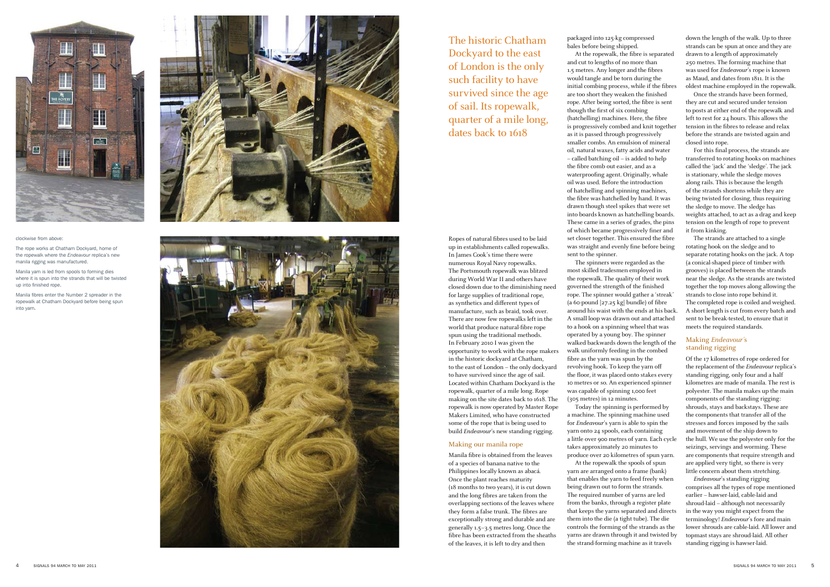Ropes of natural fibres used to be laid up in establishments called ropewalks. In James Cook's time there were numerous Royal Navy ropewalks. The Portsmouth ropewalk was blitzed during World War II and others have closed down due to the diminishing need for large supplies of traditional rope, as synthetics and different types of manufacture, such as braid, took over. There are now few ropewalks left in the world that produce natural-fibre rope spun using the traditional methods. In February 2010 I was given the opportunity to work with the rope makers in the historic dockyard at Chatham, to the east of London – the only dockyard to have survived since the age of sail. Located within Chatham Dockyard is the ropewalk, quarter of a mile long. Rope making on the site dates back to 1618. The ropewalk is now operated by Master Rope Makers Limited, who have constructed some of the rope that is being used to build Endeavour's new standing rigging.

#### Making our manila rope

Manila fibre is obtained from the leaves of a species of banana native to the Philippines locally known as abacá. Once the plant reaches maturity (18 months to two years), it is cut down and the long fibres are taken from the overlapping sections of the leaves where they form a false trunk. The fibres are exceptionally strong and durable and are generally 1.5–3.5 metres long. Once the fibre has been extracted from the sheaths of the leaves, it is left to dry and then

packaged into 125-kg compressed bales before being shipped.

At the ropewalk, the fibre is separated and cut to lengths of no more than 1.5 metres. Any longer and the fibres would tangle and be torn during the initial combing process, while if the fibres are too short they weaken the finished rope. After being sorted, the fibre is sent though the first of six combing (hatchelling) machines. Here, the fibre is progressively combed and knit together as it is passed through progressively smaller combs. An emulsion of mineral oil, natural waxes, fatty acids and water – called batching oil – is added to help the fibre comb out easier, and as a waterproofing agent. Originally, whale oil was used. Before the introduction of hatchelling and spinning machines, the fibre was hatchelled by hand. It was drawn though steel spikes that were set into boards known as hatchelling boards. These came in a series of grades, the pins of which became progressively finer and set closer together. This ensured the fibre was straight and evenly fine before being sent to the spinner.

The spinners were regarded as the most skilled tradesmen employed in the ropewalk. The quality of their work governed the strength of the finished rope. The spinner would gather a 'streak' (a 60-pound [27.25 kg] bundle) of fibre around his waist with the ends at his back. A small loop was drawn out and attached to a hook on a spinning wheel that was operated by a young boy. The spinner walked backwards down the length of the walk uniformly feeding in the combed fibre as the yarn was spun by the revolving hook. To keep the yarn off the floor, it was placed onto stakes every 10 metres or so. An experienced spinner was capable of spinning 1,000 feet (305 metres) in 12 minutes. Today the spinning is performed by

a machine. The spinning machine used for Endeavour's yarn is able to spin the yarn onto 24 spools, each containing a little over 900 metres of yarn. Each cycle takes approximately 20 minutes to produce over 20 kilometres of spun yarn.

At the ropewalk the spools of spun

yarn are arranged onto a frame (bank) that enables the yarn to feed freely when being drawn out to form the strands. The required number of yarns are led from the banks, through a register plate that keeps the yarns separated and directs them into the die (a tight tube). The die controls the forming of the strands as the yarns are drawn through it and twisted by the strand-forming machine as it travels

The historic Chatham Dockyard to the east of London is the only such facility to have survived since the age of sail. Its ropewalk, quarter of a mile long, dates back to 1618



#### clockwise from above:

The rope works at Chatham Dockyard, home of the ropewalk where the *Endeavour* replica's new manila rigging was manufactured.

Manila yarn is led from spools to forming dies where it is spun into the strands that will be twisted up into finished rope.

Manila fibres enter the Number 2 spreader in the ropewalk at Chatham Dockyard before being spun into yarn.





down the length of the walk. Up to three strands can be spun at once and they are drawn to a length of approximately 250 metres. The forming machine that was used for Endeavour's rope is known as Maud, and dates from 1811. It is the oldest machine employed in the ropewalk.

Once the strands have been formed, they are cut and secured under tension to posts at either end of the ropewalk and left to rest for 24 hours. This allows the tension in the fibres to release and relax before the strands are twisted again and closed into rope.

For this final process, the strands are transferred to rotating hooks on machines called the 'jack' and the 'sledge'. The jack is stationary, while the sledge moves along rails. This is because the length of the strands shortens while they are being twisted for closing, thus requiring the sledge to move. The sledge has weights attached, to act as a drag and keep tension on the length of rope to prevent it from kinking.

The strands are attached to a single rotating hook on the sledge and to separate rotating hooks on the jack. A top (a conical-shaped piece of timber with grooves) is placed between the strands near the sledge. As the strands are twisted together the top moves along allowing the strands to close into rope behind it. The completed rope is coiled and weighed. A short length is cut from every batch and sent to be break-tested, to ensure that it meets the required standards.

### Making Endeavour's standing rigging

Of the 17 kilometres of rope ordered for the replacement of the Endeavour replica's standing rigging, only four and a half kilometres are made of manila. The rest is polyester. The manila makes up the main components of the standing rigging: shrouds, stays and backstays. These are the components that transfer all of the stresses and forces imposed by the sails and movement of the ship down to the hull. We use the polyester only for the seizings, servings and worming. These are components that require strength and are applied very tight, so there is very little concern about them stretching.

Endeavour's standing rigging comprises all the types of rope mentioned earlier – hawser-laid, cable-laid and shroud-laid – although not necessarily in the way you might expect from the terminology! Endeavour's fore and main lower shrouds are cable-laid. All lower and topmast stays are shroud-laid. All other standing rigging is hawser-laid.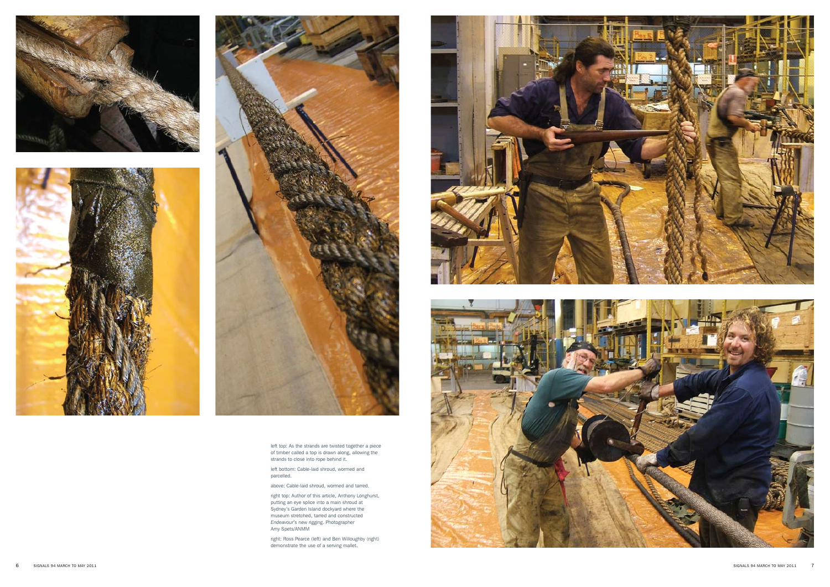





left top: As the strands are twisted together a piece of timber called a top is drawn along, allowing the strands to close into rope behind it.

left bottom: Cable-laid shroud, wormed and parcelled.

above: Cable-laid shroud, wormed and tarred.

right top: Author of this article, Anthony Longhurst, putting an eye splice into a main shroud at Sydney's Garden Island dockyard where the museum stretched, tarred and constructed *Endeavour*'s new rigging. Photographer Amy Spets/ANMM

right: Ross Pearce (left) and Ben Willoughby (right) demonstrate the use of a serving mallet.



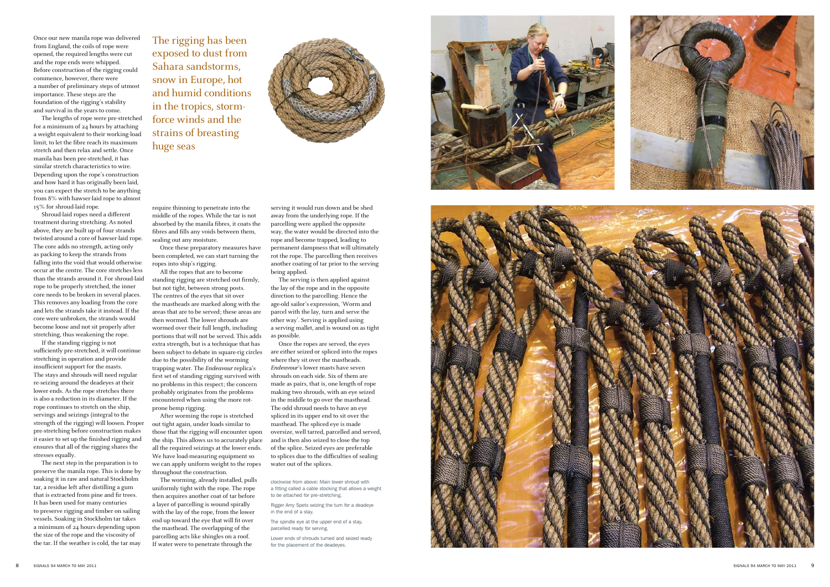clockwise from above: Main lower shroud with a fitting called a cable stocking that allows a weight to be attached for pre-stretching.

Rigger Amy Spets seizing the turn for a deadeye in the end of a stay.

The spindle eye at the upper end of a stay, parcelled ready for serving.

Lower ends of shrouds turned and seized ready for the placement of the deadeyes.





Once our new manila rope was delivered from England, the coils of rope were opened, the required lengths were cut and the rope ends were whipped. Before construction of the rigging could commence, however, there were a number of preliminary steps of utmost importance. These steps are the foundation of the rigging's stability and survival in the years to come.

The lengths of rope were pre-stretched for a minimum of 24 hours by attaching a weight equivalent to their working-load limit, to let the fibre reach its maximum stretch and then relax and settle. Once manila has been pre-stretched, it has similar stretch characteristics to wire. Depending upon the rope's construction and how hard it has originally been laid, you can expect the stretch to be anything from 8% with hawser-laid rope to almost 15% for shroud-laid rope.

Shroud-laid ropes need a different treatment during stretching. As noted above, they are built up of four strands twisted around a core of hawser-laid rope. The core adds no strength, acting only as packing to keep the strands from falling into the void that would otherwise occur at the centre. The core stretches less than the strands around it. For shroud-laid rope to be properly stretched, the inner core needs to be broken in several places. This removes any loading from the core and lets the strands take it instead. If the core were unbroken, the strands would become loose and not sit properly after stretching, thus weakening the rope.

If the standing rigging is not sufficiently pre-stretched, it will continue stretching in operation and provide insufficient support for the masts. The stays and shrouds will need regular re-seizing around the deadeyes at their lower ends. As the rope stretches there is also a reduction in its diameter. If the rope continues to stretch on the ship, servings and seizings (integral to the strength of the rigging) will loosen. Proper pre-stretching before construction makes it easier to set up the finished rigging and ensures that all of the rigging shares the stresses equally.

The next step in the preparation is to preserve the manila rope. This is done by soaking it in raw and natural Stockholm tar, a residue left after distilling a gum that is extracted from pine and fir trees. It has been used for many centuries to preserve rigging and timber on sailing vessels. Soaking in Stockholm tar takes a minimum of 24 hours depending upon the size of the rope and the viscosity of the tar. If the weather is cold, the tar may

require thinning to penetrate into the middle of the ropes. While the tar is not absorbed by the manila fibres, it coats the fibres and fills any voids between them, sealing out any moisture.

Once these preparatory measures have been completed, we can start turning the ropes into ship's rigging.

All the ropes that are to become standing rigging are stretched out firmly, but not tight, between strong posts. The centres of the eyes that sit over the mastheads are marked along with the areas that are to be served; these areas are then wormed. The lower shrouds are wormed over their full length, including portions that will not be served. This adds extra strength, but is a technique that has been subject to debate in square-rig circles due to the possibility of the worming trapping water. The Endeavour replica's first set of standing rigging survived with no problems in this respect; the concern probably originates from the problems encountered when using the more rotprone hemp rigging.

After worming the rope is stretched out tight again, under loads similar to those that the rigging will encounter upon the ship. This allows us to accurately place all the required seizings at the lower ends. We have load-measuring equipment so we can apply uniform weight to the ropes throughout the construction.

The worming, already installed, pulls uniformly tight with the rope. The rope then acquires another coat of tar before a layer of parcelling is wound spirally with the lay of the rope, from the lower end up toward the eye that will fit over the masthead. The overlapping of the parcelling acts like shingles on a roof. If water were to penetrate through the

serving it would run down and be shed away from the underlying rope. If the parcelling were applied the opposite way, the water would be directed into the rope and become trapped, leading to permanent dampness that will ultimately rot the rope. The parcelling then receives another coating of tar prior to the serving being applied.

The serving is then applied against the lay of the rope and in the opposite direction to the parcelling. Hence the age-old sailor's expression, 'Worm and parcel with the lay, turn and serve the other way'. Serving is applied using a serving mallet, and is wound on as tight as possible.

Once the ropes are served, the eyes are either seized or spliced into the ropes where they sit over the mastheads. Endeavour's lower masts have seven shrouds on each side. Six of them are made as pairs, that is, one length of rope making two shrouds, with an eye seized in the middle to go over the masthead. The odd shroud needs to have an eye spliced in its upper end to sit over the masthead. The spliced eye is made oversize, well tarred, parcelled and served, and is then also seized to close the top of the splice. Seized eyes are preferable to splices due to the difficulties of sealing water out of the splices.

The rigging has been exposed to dust from Sahara sandstorms, snow in Europe, hot and humid conditions in the tropics, stormforce winds and the strains of breasting huge seas